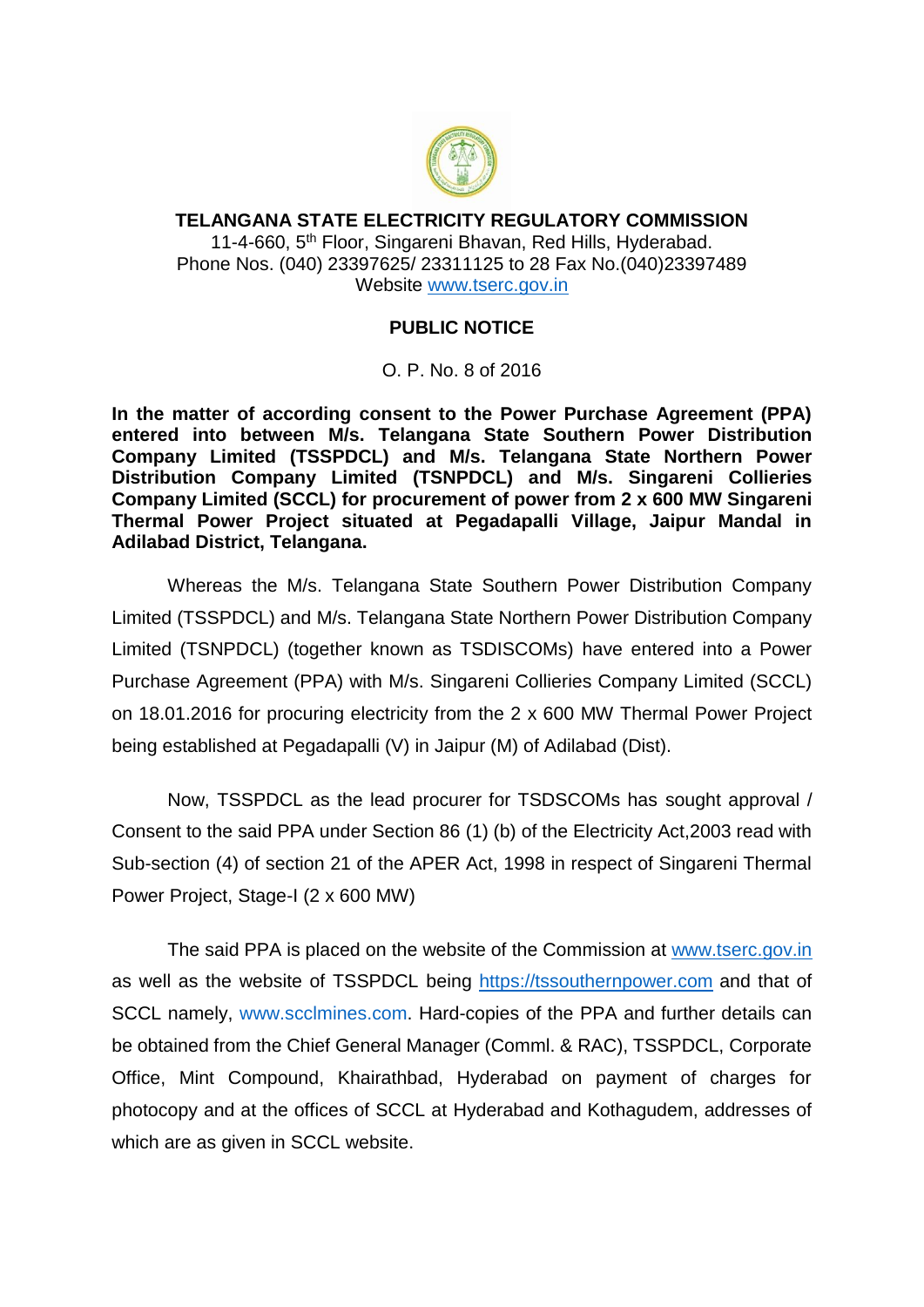

## **TELANGANA STATE ELECTRICITY REGULATORY COMMISSION** 11-4-660, 5<sup>th</sup> Floor, Singareni Bhavan, Red Hills, Hyderabad. Phone Nos. (040) 23397625/ 23311125 to 28 Fax No.(040)23397489 Website [www.tserc.gov.in](http://www.tserc.gov.in/)

## **PUBLIC NOTICE**

O. P. No. 8 of 2016

**In the matter of according consent to the Power Purchase Agreement (PPA) entered into between M/s. Telangana State Southern Power Distribution Company Limited (TSSPDCL) and M/s. Telangana State Northern Power Distribution Company Limited (TSNPDCL) and M/s. Singareni Collieries Company Limited (SCCL) for procurement of power from 2 x 600 MW Singareni Thermal Power Project situated at Pegadapalli Village, Jaipur Mandal in Adilabad District, Telangana.**

Whereas the M/s. Telangana State Southern Power Distribution Company Limited (TSSPDCL) and M/s. Telangana State Northern Power Distribution Company Limited (TSNPDCL) (together known as TSDISCOMs) have entered into a Power Purchase Agreement (PPA) with M/s. Singareni Collieries Company Limited (SCCL) on 18.01.2016 for procuring electricity from the 2 x 600 MW Thermal Power Project being established at Pegadapalli (V) in Jaipur (M) of Adilabad (Dist).

Now, TSSPDCL as the lead procurer for TSDSCOMs has sought approval / Consent to the said PPA under Section 86 (1) (b) of the Electricity Act,2003 read with Sub-section (4) of section 21 of the APER Act, 1998 in respect of Singareni Thermal Power Project, Stage-I (2 x 600 MW)

The said PPA is placed on the website of the Commission at [www.tserc.gov.in](http://www.tserc.gov.in/) as well as the website of TSSPDCL being [https://tssouthernpower.com](https://tssouthernpower.com/) and that of SCCL namely, [www.scclmines.com.](http://www.scclmines.com/) Hard-copies of the PPA and further details can be obtained from the Chief General Manager (Comml. & RAC), TSSPDCL, Corporate Office, Mint Compound, Khairathbad, Hyderabad on payment of charges for photocopy and at the offices of SCCL at Hyderabad and Kothagudem, addresses of which are as given in SCCL website.